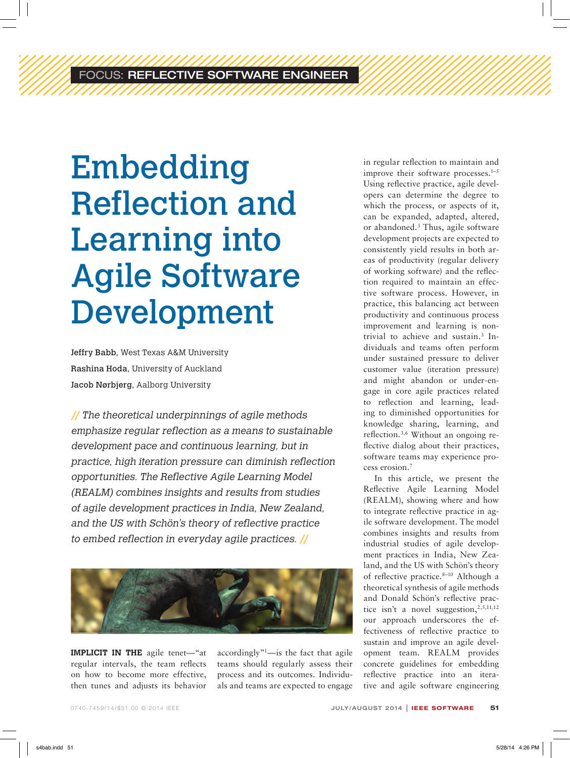# Embedding **Reflection and** Learning into Agile Software Development

Jeffry Babb, West Texas A&M University Rashina Hoda, University of Auckland Jacob Nørbjerg, Aalborg University

**//** The theoretical underpinnings of agile methods emphasize regular reflection as a means to sustainable development pace and continuous learning, but in practice, high iteration pressure can diminish reflection opportunities. The Reflective Agile Learning Model (REALM) combines insights and results from studies of agile development practices in India, New Zealand, and the US with Schön's theory of reflective practice to embed reflection in everyday agile practices. **//** 



**IMPLICIT IN THE** agile tenet—"at regular intervals, the team reflects on how to become more effective, then tunes and adjusts its behavior accordingly"1—is the fact that agile teams should regularly assess their process and its outcomes. Individuals and teams are expected to engage

in regular reflection to maintain and improve their software processes.<sup>1-5</sup> Using reflective practice, agile developers can determine the degree to which the process, or aspects of it, can be expanded, adapted, altered, or abandoned.3 Thus, agile software development projects are expected to consistently yield results in both areas of productivity (regular delivery of working software) and the reflection required to maintain an effective software process. However, in practice, this balancing act between productivity and continuous process improvement and learning is nontrivial to achieve and sustain.3 Individuals and teams often perform under sustained pressure to deliver customer value (iteration pressure) and might abandon or under-engage in core agile practices related to reflection and learning, leading to diminished opportunities for knowledge sharing, learning, and reflection.<sup>3,6</sup> Without an ongoing reflective dialog about their practices, software teams may experience process erosion.7

In this article, we present the Reflective Agile Learning Model (REALM), showing where and how to integrate reflective practice in agile software development. The model combines insights and results from industrial studies of agile development practices in India, New Zealand, and the US with Schön's theory of reflective practice. $8-10$  Although a theoretical synthesis of agile methods and Donald Schön's reflective practice isn't a novel suggestion,  $2,5,11,12$ our approach underscores the effectiveness of reflective practice to sustain and improve an agile development team. REALM provides concrete guidelines for embedding reflective practice into an iterative and agile software engineering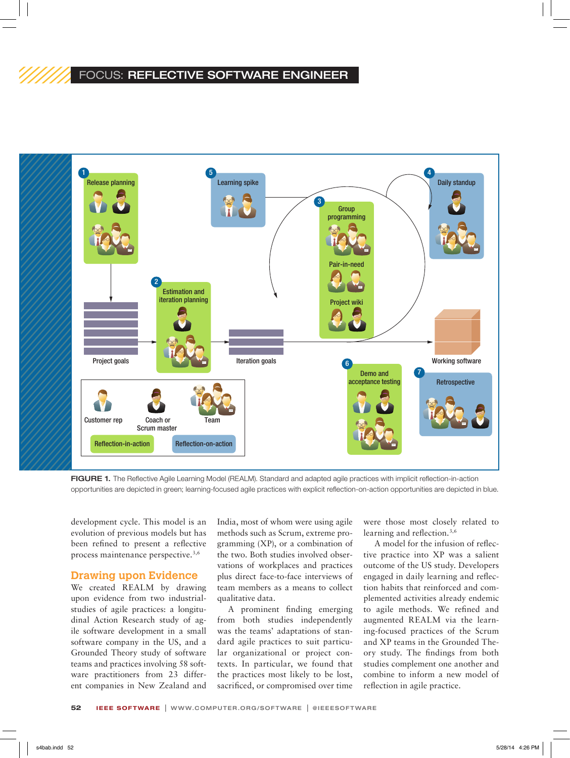

FIGURE 1. The Reflective Agile Learning Model (REALM). Standard and adapted agile practices with implicit reflection-in-action opportunities are depicted in green; learning-focused agile practices with explicit reflection-on-action opportunities are depicted in blue.

development cycle. This model is an evolution of previous models but has been refined to present a reflective process maintenance perspective.<sup>3,6</sup>

#### **Drawing upon Evidence**

We created REALM by drawing upon evidence from two industrialstudies of agile practices: a longitudinal Action Research study of agile software development in a small software company in the US, and a Grounded Theory study of software teams and practices involving 58 software practitioners from 23 different companies in New Zealand and India, most of whom were using agile methods such as Scrum, extreme programming (XP), or a combination of the two. Both studies involved observations of workplaces and practices plus direct face-to-face interviews of team members as a means to collect qualitative data.

A prominent finding emerging from both studies independently was the teams' adaptations of standard agile practices to suit particular organizational or project contexts. In particular, we found that the practices most likely to be lost, sacrificed, or compromised over time

were those most closely related to learning and reflection.<sup>3,6</sup>

A model for the infusion of reflective practice into XP was a salient outcome of the US study. Developers engaged in daily learning and reflection habits that reinforced and complemented activities already endemic to agile methods. We refined and augmented REALM via the learning-focused practices of the Scrum and XP teams in the Grounded Theory study. The findings from both studies complement one another and combine to inform a new model of reflection in agile practice.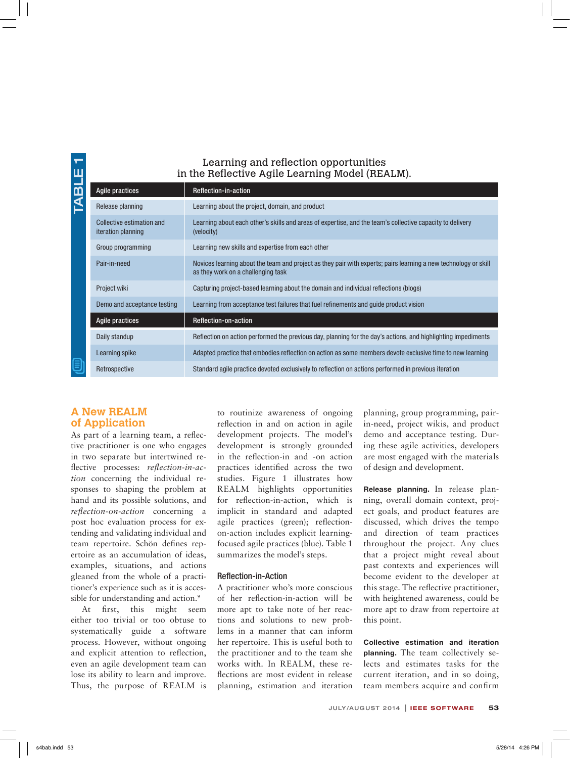## Learning and reflection opportunities in the Reflective Agile Learning Model (REALM).

| Learning and reflection opportunities<br>in the Reflective Agile Learning Model (REALM). |                                                        |                                                                                                                                                       |
|------------------------------------------------------------------------------------------|--------------------------------------------------------|-------------------------------------------------------------------------------------------------------------------------------------------------------|
| <b>TABLE</b>                                                                             | Agile practices                                        | Reflection-in-action                                                                                                                                  |
|                                                                                          | Release planning                                       | Learning about the project, domain, and product                                                                                                       |
|                                                                                          | Collective estimation and<br><i>iteration planning</i> | Learning about each other's skills and areas of expertise, and the team's collective capacity to delivery<br>(velocity)                               |
|                                                                                          | Group programming                                      | Learning new skills and expertise from each other                                                                                                     |
|                                                                                          | Pair-in-need                                           | Novices learning about the team and project as they pair with experts; pairs learning a new technology or skill<br>as they work on a challenging task |
|                                                                                          | Project wiki                                           | Capturing project-based learning about the domain and individual reflections (blogs)                                                                  |
|                                                                                          | Demo and acceptance testing                            | Learning from acceptance test failures that fuel refinements and quide product vision                                                                 |
|                                                                                          | Agile practices                                        | Reflection-on-action                                                                                                                                  |
|                                                                                          | Daily standup                                          | Reflection on action performed the previous day, planning for the day's actions, and highlighting impediments                                         |
|                                                                                          | Learning spike                                         | Adapted practice that embodies reflection on action as some members devote exclusive time to new learning                                             |
|                                                                                          | Retrospective                                          | Standard agile practice devoted exclusively to reflection on actions performed in previous iteration                                                  |

## **A New REALM of Application**

As part of a learning team, a reflective practitioner is one who engages in two separate but intertwined reflective processes: *reflection-in-action* concerning the individual responses to shaping the problem at hand and its possible solutions, and *reflection-on-action* concerning a post hoc evaluation process for extending and validating individual and team repertoire. Schön defines repertoire as an accumulation of ideas, examples, situations, and actions gleaned from the whole of a practitioner's experience such as it is accessible for understanding and action.<sup>9</sup>

At first, this might seem either too trivial or too obtuse to systematically guide a software process. However, without ongoing and explicit attention to reflection, even an agile development team can lose its ability to learn and improve. Thus, the purpose of REALM is

to routinize awareness of ongoing reflection in and on action in agile development projects. The model's development is strongly grounded in the reflection-in and -on action practices identified across the two studies. Figure 1 illustrates how REALM highlights opportunities for reflection-in-action, which is implicit in standard and adapted agile practices (green); reflectionon-action includes explicit learningfocused agile practices (blue). Table 1 summarizes the model's steps.

#### Reflection-in-Action

A practitioner who's more conscious of her reflection-in-action will be more apt to take note of her reactions and solutions to new problems in a manner that can inform her repertoire. This is useful both to the practitioner and to the team she works with. In REALM, these reflections are most evident in release planning, estimation and iteration

planning, group programming, pairin-need, project wikis, and product demo and acceptance testing. During these agile activities, developers are most engaged with the materials of design and development.

Release planning. In release planning, overall domain context, project goals, and product features are discussed, which drives the tempo and direction of team practices throughout the project. Any clues that a project might reveal about past contexts and experiences will become evident to the developer at this stage. The reflective practitioner, with heightened awareness, could be more apt to draw from repertoire at this point.

Collective estimation and iteration planning. The team collectively selects and estimates tasks for the current iteration, and in so doing, team members acquire and confirm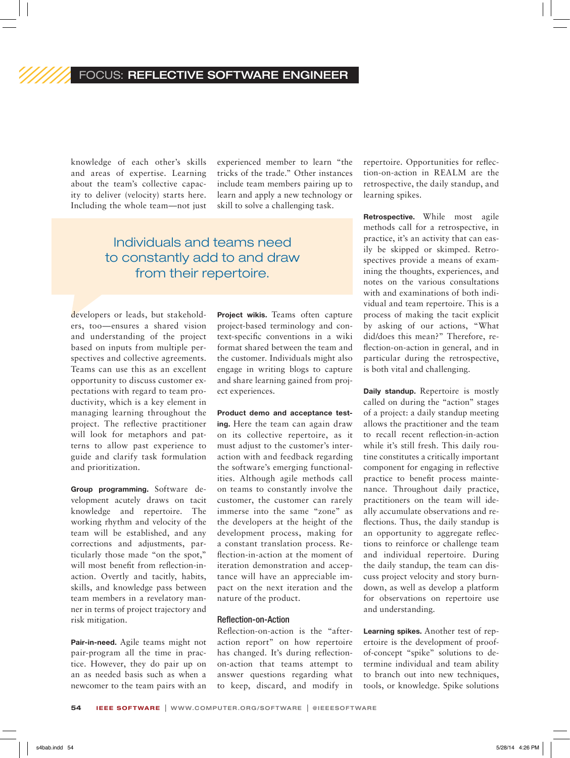knowledge of each other's skills and areas of expertise. Learning about the team's collective capacity to deliver (velocity) starts here. Including the whole team—not just experienced member to learn "the tricks of the trade." Other instances include team members pairing up to learn and apply a new technology or skill to solve a challenging task.

Individuals and teams need to constantly add to and draw from their repertoire.

developers or leads, but stakeholders, too—ensures a shared vision and understanding of the project based on inputs from multiple perspectives and collective agreements. Teams can use this as an excellent opportunity to discuss customer expectations with regard to team productivity, which is a key element in managing learning throughout the project. The reflective practitioner will look for metaphors and patterns to allow past experience to guide and clarify task formulation and prioritization.

Group programming. Software development acutely draws on tacit knowledge and repertoire. The working rhythm and velocity of the team will be established, and any corrections and adjustments, particularly those made "on the spot," will most benefit from reflection-inaction. Overtly and tacitly, habits, skills, and knowledge pass between team members in a revelatory manner in terms of project trajectory and risk mitigation.

Pair-in-need. Agile teams might not pair-program all the time in practice. However, they do pair up on an as needed basis such as when a newcomer to the team pairs with an

Project wikis. Teams often capture project-based terminology and context-specific conventions in a wiki format shared between the team and the customer. Individuals might also engage in writing blogs to capture and share learning gained from project experiences.

Product demo and acceptance testing. Here the team can again draw on its collective repertoire, as it must adjust to the customer's interaction with and feedback regarding the software's emerging functionalities. Although agile methods call on teams to constantly involve the customer, the customer can rarely immerse into the same "zone" as the developers at the height of the development process, making for a constant translation process. Reflection-in-action at the moment of iteration demonstration and acceptance will have an appreciable impact on the next iteration and the nature of the product.

#### Reflection-on-Action

Reflection-on-action is the "afteraction report" on how repertoire has changed. It's during reflectionon-action that teams attempt to answer questions regarding what to keep, discard, and modify in

repertoire. Opportunities for reflection-on-action in REALM are the retrospective, the daily standup, and learning spikes.

Retrospective. While most agile methods call for a retrospective, in practice, it's an activity that can easily be skipped or skimped. Retrospectives provide a means of examining the thoughts, experiences, and notes on the various consultations with and examinations of both individual and team repertoire. This is a process of making the tacit explicit by asking of our actions, "What did/does this mean?" Therefore, reflection-on-action in general, and in particular during the retrospective, is both vital and challenging.

Daily standup. Repertoire is mostly called on during the "action" stages of a project: a daily standup meeting allows the practitioner and the team to recall recent reflection-in-action while it's still fresh. This daily routine constitutes a critically important component for engaging in reflective practice to benefit process maintenance. Throughout daily practice, practitioners on the team will ideally accumulate observations and reflections. Thus, the daily standup is an opportunity to aggregate reflections to reinforce or challenge team and individual repertoire. During the daily standup, the team can discuss project velocity and story burndown, as well as develop a platform for observations on repertoire use and understanding.

Learning spikes. Another test of repertoire is the development of proofof-concept "spike" solutions to determine individual and team ability to branch out into new techniques, tools, or knowledge. Spike solutions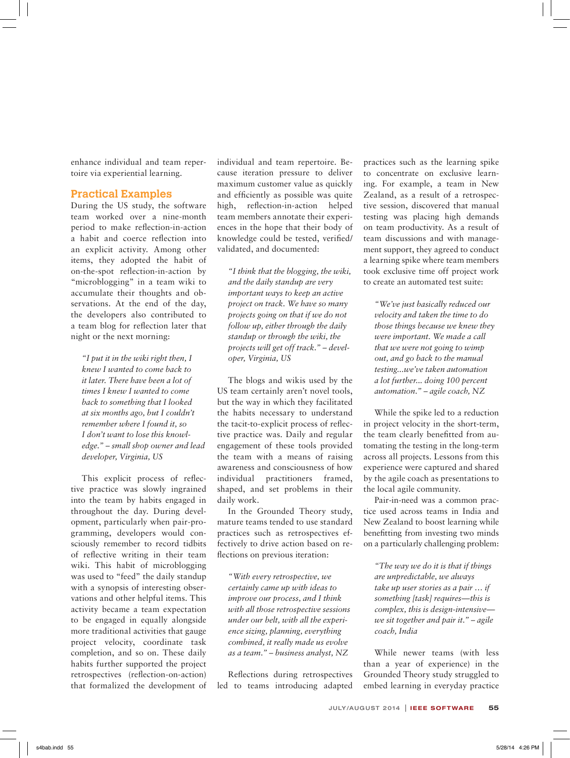enhance individual and team repertoire via experiential learning.

## **Practical Examples**

During the US study, the software team worked over a nine-month period to make reflection-in-action a habit and coerce reflection into an explicit activity. Among other items, they adopted the habit of on-the-spot reflection-in-action by "microblogging" in a team wiki to accumulate their thoughts and observations. At the end of the day, the developers also contributed to a team blog for reflection later that night or the next morning:

*"I put it in the wiki right then, I knew I wanted to come back to it later. There have been a lot of times I knew I wanted to come back to something that I looked at six months ago, but I couldn't remember where I found it, so I don't want to lose this knowledge." – small shop owner and lead developer, Virginia, US*

This explicit process of reflective practice was slowly ingrained into the team by habits engaged in throughout the day. During development, particularly when pair-programming, developers would consciously remember to record tidbits of reflective writing in their team wiki. This habit of microblogging was used to "feed" the daily standup with a synopsis of interesting observations and other helpful items. This activity became a team expectation to be engaged in equally alongside more traditional activities that gauge project velocity, coordinate task completion, and so on. These daily habits further supported the project retrospectives (reflection-on-action) that formalized the development of individual and team repertoire. Because iteration pressure to deliver maximum customer value as quickly and efficiently as possible was quite high, reflection-in-action helped team members annotate their experiences in the hope that their body of knowledge could be tested, verified/ validated, and documented:

*"I think that the blogging, the wiki, and the daily standup are very important ways to keep an active project on track. We have so many projects going on that if we do not follow up, either through the daily standup or through the wiki, the projects will get off track." – developer, Virginia, US*

The blogs and wikis used by the US team certainly aren't novel tools, but the way in which they facilitated the habits necessary to understand the tacit-to-explicit process of reflective practice was. Daily and regular engagement of these tools provided the team with a means of raising awareness and consciousness of how individual practitioners framed, shaped, and set problems in their daily work.

In the Grounded Theory study, mature teams tended to use standard practices such as retrospectives effectively to drive action based on reflections on previous iteration:

*"With every retrospective, we certainly came up with ideas to improve our process, and I think with all those retrospective sessions under our belt, with all the experience sizing, planning, everything combined, it really made us evolve as a team." – business analyst, NZ*

Reflections during retrospectives led to teams introducing adapted

practices such as the learning spike to concentrate on exclusive learning. For example, a team in New Zealand, as a result of a retrospective session, discovered that manual testing was placing high demands on team productivity. As a result of team discussions and with management support, they agreed to conduct a learning spike where team members took exclusive time off project work to create an automated test suite:

*"We've just basically reduced our velocity and taken the time to do those things because we knew they were important. We made a call that we were not going to wimp out, and go back to the manual testing...we've taken automation a lot further... doing 100 percent automation." – agile coach, NZ*

While the spike led to a reduction in project velocity in the short-term, the team clearly benefitted from automating the testing in the long-term across all projects. Lessons from this experience were captured and shared by the agile coach as presentations to the local agile community.

Pair-in-need was a common practice used across teams in India and New Zealand to boost learning while benefitting from investing two minds on a particularly challenging problem:

*"The way we do it is that if things are unpredictable, we always take up user stories as a pair … if something [task] requires—this is complex, this is design-intensive we sit together and pair it." – agile coach, India*

While newer teams (with less than a year of experience) in the Grounded Theory study struggled to embed learning in everyday practice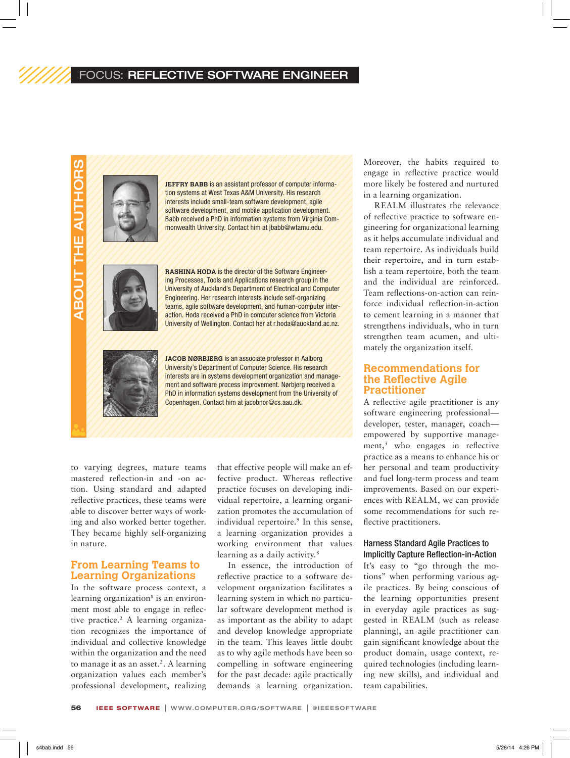## FOCUS: REFLECTIVE SOFTWARE ENGINEER

ABOUT THE AUTHORS ABOUT THE AUTHORS



**JEFFRY BABB** is an assistant professor of computer information systems at West Texas A&M University. His research interests include small-team software development, agile software development, and mobile application development. Babb received a PhD in information systems from Virginia Commonwealth University. Contact him at jbabb@wtamu.edu.



**RASHINA HODA** is the director of the Software Engineering Processes, Tools and Applications research group in the University of Auckland's Department of Electrical and Computer Engineering. Her research interests include self-organizing teams, agile software development, and human-computer interaction. Hoda received a PhD in computer science from Victoria University of Wellington. Contact her at r.hoda@auckland.ac.nz.



**JACOB NØRBJERG** is an associate professor in Aalborg University's Department of Computer Science. His research interests are in systems development organization and management and software process improvement. Nørbjerg received a PhD in information systems development from the University of Copenhagen. Contact him at jacobnor@cs.aau.dk.

to varying degrees, mature teams mastered reflection-in and -on action. Using standard and adapted reflective practices, these teams were able to discover better ways of working and also worked better together. They became highly self-organizing in nature.

#### **From Learning Teams to Learning Organizations**

In the software process context, a learning organization<sup>8</sup> is an environment most able to engage in reflective practice.2 A learning organization recognizes the importance of individual and collective knowledge within the organization and the need to manage it as an asset.<sup>2</sup>. A learning organization values each member's professional development, realizing that effective people will make an effective product. Whereas reflective practice focuses on developing individual repertoire, a learning organization promotes the accumulation of individual repertoire.<sup>9</sup> In this sense, a learning organization provides a working environment that values learning as a daily activity.<sup>8</sup>

In essence, the introduction of reflective practice to a software development organization facilitates a learning system in which no particular software development method is as important as the ability to adapt and develop knowledge appropriate in the team. This leaves little doubt as to why agile methods have been so compelling in software engineering for the past decade: agile practically demands a learning organization.

Moreover, the habits required to engage in reflective practice would more likely be fostered and nurtured in a learning organization.

REALM illustrates the relevance of reflective practice to software engineering for organizational learning as it helps accumulate individual and team repertoire. As individuals build their repertoire, and in turn establish a team repertoire, both the team and the individual are reinforced. Team reflections-on-action can reinforce individual reflection-in-action to cement learning in a manner that strengthens individuals, who in turn strengthen team acumen, and ultimately the organization itself.

## **Recommendations for the Reflective Agile Practitioner**

A reflective agile practitioner is any software engineering professional developer, tester, manager, coach empowered by supportive manage $ment<sub>1</sub><sup>3</sup>$  who engages in reflective practice as a means to enhance his or her personal and team productivity and fuel long-term process and team improvements. Based on our experiences with REALM, we can provide some recommendations for such reflective practitioners.

#### Harness Standard Agile Practices to Implicitly Capture Reflection-in-Action

It's easy to "go through the motions" when performing various agile practices. By being conscious of the learning opportunities present in everyday agile practices as suggested in REALM (such as release planning), an agile practitioner can gain significant knowledge about the product domain, usage context, required technologies (including learning new skills), and individual and team capabilities.